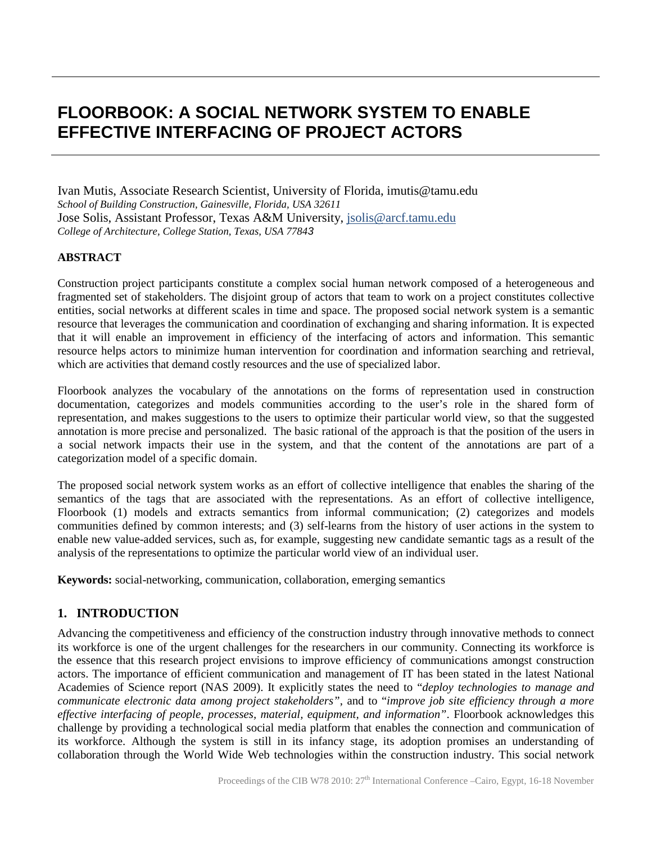# **FLOORBOOK: A SOCIAL NETWORK SYSTEM TO ENABLE EFFECTIVE INTERFACING OF PROJECT ACTORS**

*School of Building Construction, Gainesville, Florida, USA 32611* Ivan Mutis, Associate Research Scientist, University of Florida, imutis@tamu.edu Jose Solis, Assistant Professor, Texas A&M University, [jsolis@arcf.tamu.edu](mailto:jsolis@arcf.tamu.edu) *College of Architecture, College Station, Texas, USA 77843*

#### **ABSTRACT**

Construction project participants constitute a complex social human network composed of a heterogeneous and fragmented set of stakeholders. The disjoint group of actors that team to work on a project constitutes collective entities, social networks at different scales in time and space. The proposed social network system is a semantic resource that leverages the communication and coordination of exchanging and sharing information. It is expected that it will enable an improvement in efficiency of the interfacing of actors and information. This semantic resource helps actors to minimize human intervention for coordination and information searching and retrieval, which are activities that demand costly resources and the use of specialized labor.

Floorbook analyzes the vocabulary of the annotations on the forms of representation used in construction documentation, categorizes and models communities according to the user's role in the shared form of representation, and makes suggestions to the users to optimize their particular world view, so that the suggested annotation is more precise and personalized. The basic rational of the approach is that the position of the users in a social network impacts their use in the system, and that the content of the annotations are part of a categorization model of a specific domain.

The proposed social network system works as an effort of collective intelligence that enables the sharing of the semantics of the tags that are associated with the representations. As an effort of collective intelligence, Floorbook (1) models and extracts semantics from informal communication; (2) categorizes and models communities defined by common interests; and (3) self-learns from the history of user actions in the system to enable new value-added services, such as, for example, suggesting new candidate semantic tags as a result of the analysis of the representations to optimize the particular world view of an individual user.

**Keywords:** social-networking, communication, collaboration, emerging semantics

# **1. INTRODUCTION**

Advancing the competitiveness and efficiency of the construction industry through innovative methods to connect its workforce is one of the urgent challenges for the researchers in our community. Connecting its workforce is the essence that this research project envisions to improve efficiency of communications amongst construction actors. The importance of efficient communication and management of IT has been stated in the latest National Academies of Science report [\(NAS 2009\)](#page-7-0). It explicitly states the need to "*deploy technologies to manage and communicate electronic data among project stakeholders"*, and to "*improve job site efficiency through a more effective interfacing of people, processes, material, equipment, and information"*. Floorbook acknowledges this challenge by providing a technological social media platform that enables the connection and communication of its workforce. Although the system is still in its infancy stage, its adoption promises an understanding of collaboration through the World Wide Web technologies within the construction industry. This social network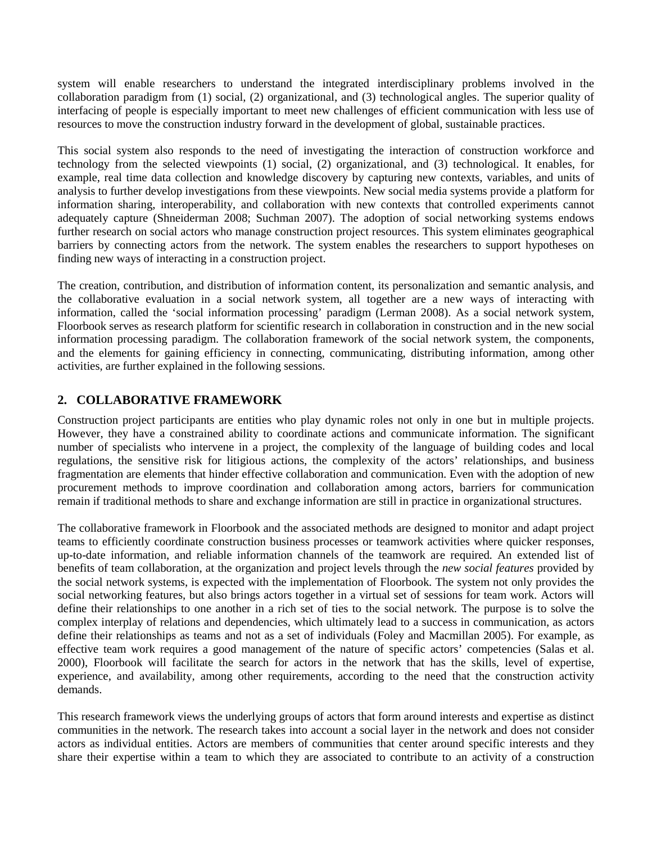system will enable researchers to understand the integrated interdisciplinary problems involved in the collaboration paradigm from (1) social, (2) organizational, and (3) technological angles. The superior quality of interfacing of people is especially important to meet new challenges of efficient communication with less use of resources to move the construction industry forward in the development of global, sustainable practices.

This social system also responds to the need of investigating the interaction of construction workforce and technology from the selected viewpoints (1) social, (2) organizational, and (3) technological. It enables, for example, real time data collection and knowledge discovery by capturing new contexts, variables, and units of analysis to further develop investigations from these viewpoints. New social media systems provide a platform for information sharing, interoperability, and collaboration with new contexts that controlled experiments cannot adequately capture [\(Shneiderman 2008;](#page-8-0) [Suchman 2007\)](#page-8-1). The adoption of social networking systems endows further research on social actors who manage construction project resources. This system eliminates geographical barriers by connecting actors from the network. The system enables the researchers to support hypotheses on finding new ways of interacting in a construction project.

The creation, contribution, and distribution of information content, its personalization and semantic analysis, and the collaborative evaluation in a social network system, all together are a new ways of interacting with information, called the 'social information processing' paradigm [\(Lerman 2008\)](#page-7-1). As a social network system, Floorbook serves as research platform for scientific research in collaboration in construction and in the new social information processing paradigm. The collaboration framework of the social network system, the components, and the elements for gaining efficiency in connecting, communicating, distributing information, among other activities, are further explained in the following sessions.

# **2. COLLABORATIVE FRAMEWORK**

Construction project participants are entities who play dynamic roles not only in one but in multiple projects. However, they have a constrained ability to coordinate actions and communicate information. The significant number of specialists who intervene in a project, the complexity of the language of building codes and local regulations, the sensitive risk for litigious actions, the complexity of the actors' relationships, and business fragmentation are elements that hinder effective collaboration and communication. Even with the adoption of new procurement methods to improve coordination and collaboration among actors, barriers for communication remain if traditional methods to share and exchange information are still in practice in organizational structures.

The collaborative framework in Floorbook and the associated methods are designed to monitor and adapt project teams to efficiently coordinate construction business processes or teamwork activities where quicker responses, up-to-date information, and reliable information channels of the teamwork are required. An extended list of benefits of team collaboration, at the organization and project levels through the *new social features* provided by the social network systems, is expected with the implementation of Floorbook. The system not only provides the social networking features, but also brings actors together in a virtual set of sessions for team work. Actors will define their relationships to one another in a rich set of ties to the social network. The purpose is to solve the complex interplay of relations and dependencies, which ultimately lead to a success in communication, as actors define their relationships as teams and not as a set of individuals [\(Foley and Macmillan 2005\)](#page-7-2). For example, as effective team work requires a good management of the nature of specific actors' competencies [\(Salas et al.](#page-8-2)  [2000\)](#page-8-2), Floorbook will facilitate the search for actors in the network that has the skills, level of expertise, experience, and availability, among other requirements, according to the need that the construction activity demands.

This research framework views the underlying groups of actors that form around interests and expertise as distinct communities in the network. The research takes into account a social layer in the network and does not consider actors as individual entities. Actors are members of communities that center around specific interests and they share their expertise within a team to which they are associated to contribute to an activity of a construction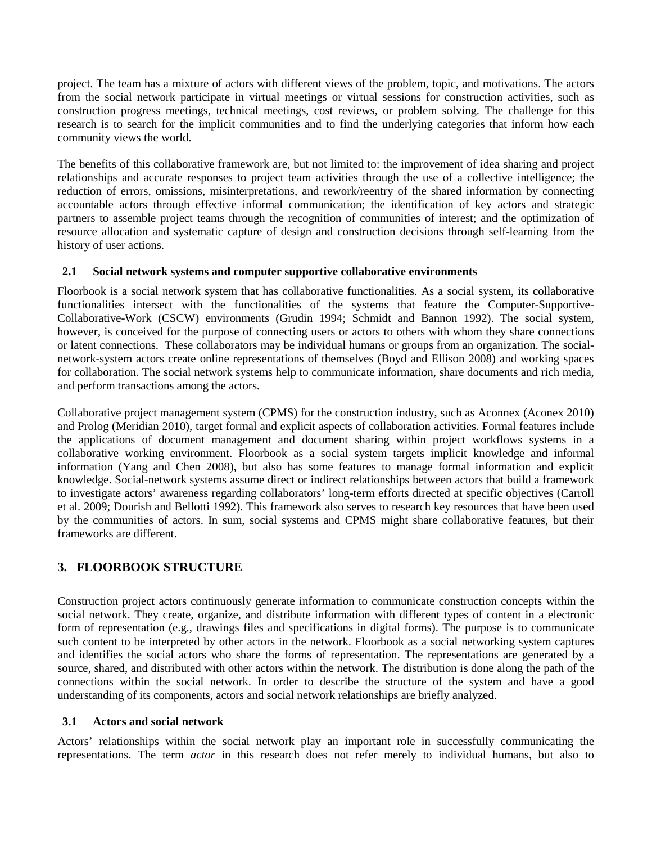project. The team has a mixture of actors with different views of the problem, topic, and motivations. The actors from the social network participate in virtual meetings or virtual sessions for construction activities, such as construction progress meetings, technical meetings, cost reviews, or problem solving. The challenge for this research is to search for the implicit communities and to find the underlying categories that inform how each community views the world.

The benefits of this collaborative framework are, but not limited to: the improvement of idea sharing and project relationships and accurate responses to project team activities through the use of a collective intelligence; the reduction of errors, omissions, misinterpretations, and rework/reentry of the shared information by connecting accountable actors through effective informal communication; the identification of key actors and strategic partners to assemble project teams through the recognition of communities of interest; and the optimization of resource allocation and systematic capture of design and construction decisions through self-learning from the history of user actions.

#### **2.1 Social network systems and computer supportive collaborative environments**

Floorbook is a social network system that has collaborative functionalities. As a social system, its collaborative functionalities intersect with the functionalities of the systems that feature the Computer-Supportive-Collaborative-Work (CSCW) environments [\(Grudin 1994;](#page-7-3) [Schmidt and Bannon 1992\)](#page-8-3). The social system, however, is conceived for the purpose of connecting users or actors to others with whom they share connections or latent connections. These collaborators may be individual humans or groups from an organization. The socialnetwork-system actors create online representations of themselves [\(Boyd and Ellison 2008\)](#page-7-4) and working spaces for collaboration. The social network systems help to communicate information, share documents and rich media, and perform transactions among the actors.

Collaborative project management system (CPMS) for the construction industry, such as Aconnex [\(Aconex 2010\)](#page-7-5) and Prolog [\(Meridian 2010\)](#page-7-6), target formal and explicit aspects of collaboration activities. Formal features include the applications of document management and document sharing within project workflows systems in a collaborative working environment. Floorbook as a social system targets implicit knowledge and informal information [\(Yang and Chen 2008\)](#page-8-4), but also has some features to manage formal information and explicit knowledge. Social-network systems assume direct or indirect relationships between actors that build a framework to investigate actors' awareness regarding collaborators' long-term efforts directed at specific objectives [\(Carroll](#page-7-7)  [et al. 2009;](#page-7-7) [Dourish and Bellotti 1992\)](#page-7-8). This framework also serves to research key resources that have been used by the communities of actors. In sum, social systems and CPMS might share collaborative features, but their frameworks are different.

# **3. FLOORBOOK STRUCTURE**

Construction project actors continuously generate information to communicate construction concepts within the social network. They create, organize, and distribute information with different types of content in a electronic form of representation (e.g., drawings files and specifications in digital forms). The purpose is to communicate such content to be interpreted by other actors in the network. Floorbook as a social networking system captures and identifies the social actors who share the forms of representation. The representations are generated by a source, shared, and distributed with other actors within the network. The distribution is done along the path of the connections within the social network. In order to describe the structure of the system and have a good understanding of its components, actors and social network relationships are briefly analyzed.

#### **3.1 Actors and social network**

Actors' relationships within the social network play an important role in successfully communicating the representations. The term *actor* in this research does not refer merely to individual humans, but also to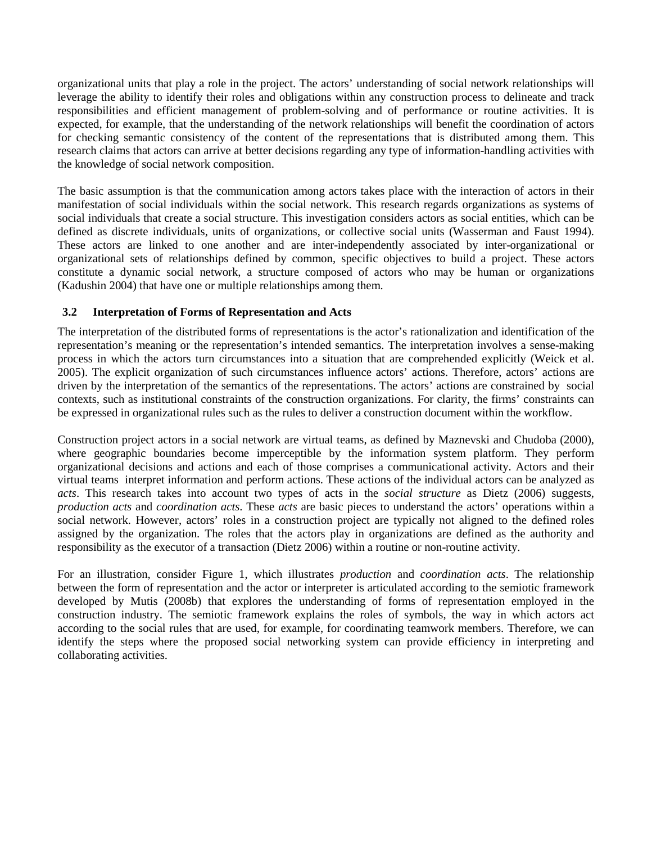organizational units that play a role in the project. The actors' understanding of social network relationships will leverage the ability to identify their roles and obligations within any construction process to delineate and track responsibilities and efficient management of problem-solving and of performance or routine activities. It is expected, for example, that the understanding of the network relationships will benefit the coordination of actors for checking semantic consistency of the content of the representations that is distributed among them. This research claims that actors can arrive at better decisions regarding any type of information-handling activities with the knowledge of social network composition.

The basic assumption is that the communication among actors takes place with the interaction of actors in their manifestation of social individuals within the social network. This research regards organizations as systems of social individuals that create a social structure. This investigation considers actors as social entities, which can be defined as discrete individuals, units of organizations, or collective social units [\(Wasserman and Faust 1994\)](#page-8-5). These actors are linked to one another and are inter-independently associated by inter-organizational or organizational sets of relationships defined by common, specific objectives to build a project. These actors constitute a dynamic social network, a structure composed of actors who may be human or organizations [\(Kadushin 2004\)](#page-7-9) that have one or multiple relationships among them.

#### **3.2 Interpretation of Forms of Representation and Acts**

The interpretation of the distributed forms of representations is the actor's rationalization and identification of the representation's meaning or the representation's intended semantics. The interpretation involves a sense-making process in which the actors turn circumstances into a situation that are comprehended explicitly [\(Weick et al.](#page-8-6)  [2005\)](#page-8-6). The explicit organization of such circumstances influence actors' actions. Therefore, actors' actions are driven by the interpretation of the semantics of the representations. The actors' actions are constrained by social contexts, such as institutional constraints of the construction organizations. For clarity, the firms' constraints can be expressed in organizational rules such as the rules to deliver a construction document within the workflow.

Construction project actors in a social network are virtual teams, as defined by Maznevski and Chudoba [\(2000\)](#page-7-10), where geographic boundaries become imperceptible by the information system platform. They perform organizational decisions and actions and each of those comprises a communicational activity. Actors and their virtual teams interpret information and perform actions. These actions of the individual actors can be analyzed as *acts*. This research takes into account two types of acts in the *social structure* as Dietz (2006) suggests, *production acts* and *coordination acts*. These *acts* are basic pieces to understand the actors' operations within a social network. However, actors' roles in a construction project are typically not aligned to the defined roles assigned by the organization. The roles that the actors play in organizations are defined as the authority and responsibility as the executor of a transaction [\(Dietz 2006\)](#page-7-11) within a routine or non-routine activity.

For an illustration, consider Figure 1, which illustrates *production* and *coordination acts*. The relationship between the form of representation and the actor or interpreter is articulated according to the semiotic framework developed by Mutis [\(2008b\)](#page-7-12) that explores the understanding of forms of representation employed in the construction industry. The semiotic framework explains the roles of symbols, the way in which actors act according to the social rules that are used, for example, for coordinating teamwork members. Therefore, we can identify the steps where the proposed social networking system can provide efficiency in interpreting and collaborating activities.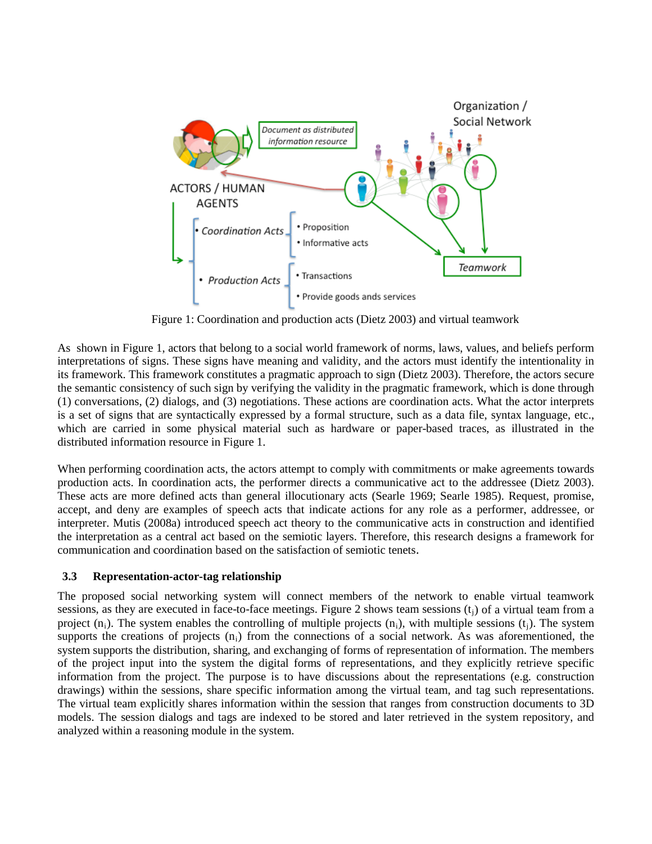

Figure 1: Coordination and production acts (Dietz 2003) and virtual teamwork

As shown in Figure 1, actors that belong to a social world framework of norms, laws, values, and beliefs perform interpretations of signs. These signs have meaning and validity, and the actors must identify the intentionality in its framework. This framework constitutes a pragmatic approach to sign [\(Dietz 2003\)](#page-7-13). Therefore, the actors secure the semantic consistency of such sign by verifying the validity in the pragmatic framework, which is done through (1) conversations, (2) dialogs, and (3) negotiations. These actions are coordination acts. What the actor interprets is a set of signs that are syntactically expressed by a formal structure, such as a data file, syntax language, etc., which are carried in some physical material such as hardware or paper-based traces, as illustrated in the distributed information resource in Figure 1.

When performing coordination acts, the actors attempt to comply with commitments or make agreements towards production acts. In coordination acts, the performer directs a communicative act to the addressee [\(Dietz 2003\)](#page-7-13). These acts are more defined acts than general illocutionary acts [\(Searle 1969;](#page-8-7) [Searle 1985\)](#page-8-8). Request, promise, accept, and deny are examples of speech acts that indicate actions for any role as a performer, addressee, or interpreter. Mutis [\(2008a\)](#page-7-14) introduced speech act theory to the communicative acts in construction and identified the interpretation as a central act based on the semiotic layers. Therefore, this research designs a framework for communication and coordination based on the satisfaction of semiotic tenets*.*

# **3.3 Representation-actor-tag relationship**

The proposed social networking system will connect members of the network to enable virtual teamwork sessions, as they are executed in face-to-face meetings. Figure 2 shows team sessions  $(t_i)$  of a virtual team from a project  $(n_i)$ . The system enables the controlling of multiple projects  $(n_i)$ , with multiple sessions  $(t_i)$ . The system supports the creations of projects  $(n_i)$  from the connections of a social network. As was aforementioned, the system supports the distribution, sharing, and exchanging of forms of representation of information. The members of the project input into the system the digital forms of representations, and they explicitly retrieve specific information from the project. The purpose is to have discussions about the representations (e.g. construction drawings) within the sessions, share specific information among the virtual team, and tag such representations. The virtual team explicitly shares information within the session that ranges from construction documents to 3D models. The session dialogs and tags are indexed to be stored and later retrieved in the system repository, and analyzed within a reasoning module in the system.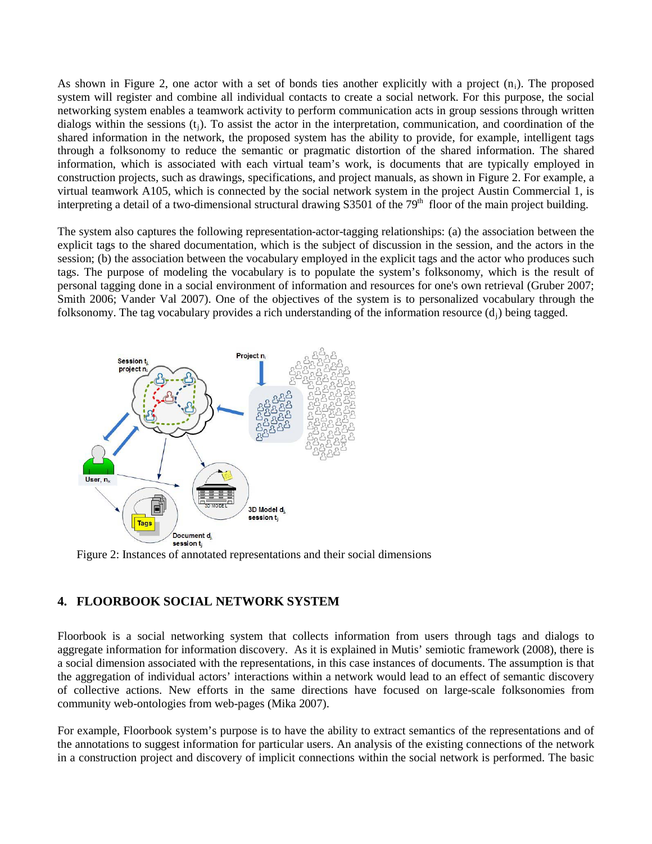As shown in Figure 2, one actor with a set of bonds ties another explicitly with a project  $(n_i)$ . The proposed system will register and combine all individual contacts to create a social network. For this purpose, the social networking system enables a teamwork activity to perform communication acts in group sessions through written dialogs within the sessions  $(t<sub>i</sub>)$ . To assist the actor in the interpretation, communication, and coordination of the shared information in the network, the proposed system has the ability to provide, for example, intelligent tags through a folksonomy to reduce the semantic or pragmatic distortion of the shared information. The shared information, which is associated with each virtual team's work, is documents that are typically employed in construction projects, such as drawings, specifications, and project manuals, as shown in Figure 2. For example, a virtual teamwork A105, which is connected by the social network system in the project Austin Commercial 1, is interpreting a detail of a two-dimensional structural drawing  $S3501$  of the 79<sup>th</sup> floor of the main project building.

The system also captures the following representation-actor-tagging relationships: (a) the association between the explicit tags to the shared documentation, which is the subject of discussion in the session, and the actors in the session; (b) the association between the vocabulary employed in the explicit tags and the actor who produces such tags. The purpose of modeling the vocabulary is to populate the system's folksonomy, which is the result of personal tagging done in a social environment of information and resources for one's own retrieval [\(Gruber 2007;](#page-7-15) [Smith 2006;](#page-8-9) [Vander Val 2007\)](#page-8-10). One of the objectives of the system is to personalized vocabulary through the folksonomy. The tag vocabulary provides a rich understanding of the information resource  $(d_i)$  being tagged.



Figure 2: Instances of annotated representations and their social dimensions

# **4. FLOORBOOK SOCIAL NETWORK SYSTEM**

Floorbook is a social networking system that collects information from users through tags and dialogs to aggregate information for information discovery. As it is explained in Mutis' semiotic framework (2008), there is a social dimension associated with the representations, in this case instances of documents. The assumption is that the aggregation of individual actors' interactions within a network would lead to an effect of semantic discovery of collective actions. New efforts in the same directions have focused on large-scale folksonomies from community web-ontologies from web-pages [\(Mika 2007\)](#page-7-16).

For example, Floorbook system's purpose is to have the ability to extract semantics of the representations and of the annotations to suggest information for particular users. An analysis of the existing connections of the network in a construction project and discovery of implicit connections within the social network is performed. The basic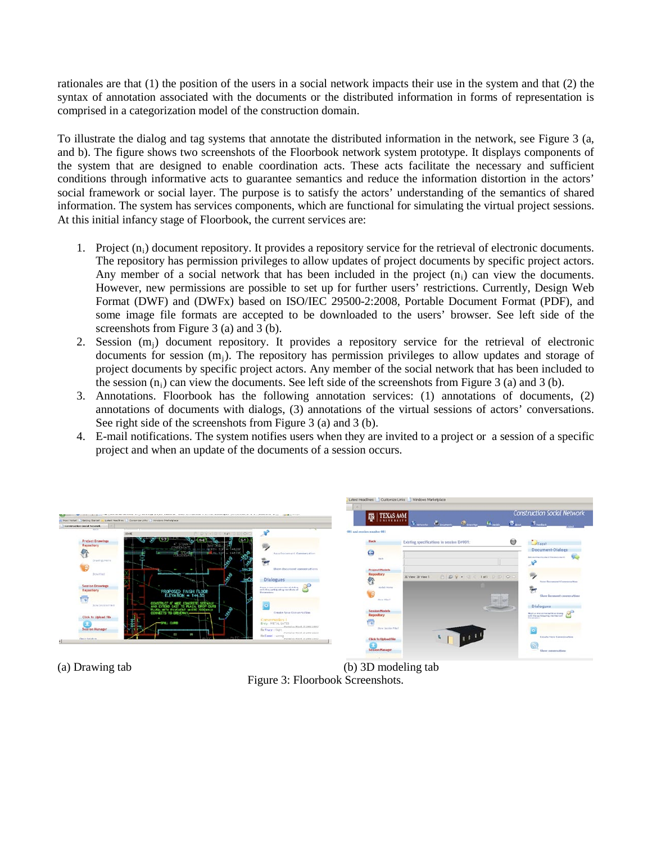rationales are that (1) the position of the users in a social network impacts their use in the system and that (2) the syntax of annotation associated with the documents or the distributed information in forms of representation is comprised in a categorization model of the construction domain.

To illustrate the dialog and tag systems that annotate the distributed information in the network, see Figure 3 (a, and b). The figure shows two screenshots of the Floorbook network system prototype. It displays components of the system that are designed to enable coordination acts. These acts facilitate the necessary and sufficient conditions through informative acts to guarantee semantics and reduce the information distortion in the actors' social framework or social layer. The purpose is to satisfy the actors' understanding of the semantics of shared information. The system has services components, which are functional for simulating the virtual project sessions. At this initial infancy stage of Floorbook, the current services are:

- 1. Project  $(n_i)$  document repository. It provides a repository service for the retrieval of electronic documents. The repository has permission privileges to allow updates of project documents by specific project actors. Any member of a social network that has been included in the project  $(n_i)$  can view the documents. However, new permissions are possible to set up for further users' restrictions. Currently, Design Web Format (DWF) and (DWFx) based on ISO/IEC 29500-2:2008, Portable Document Format (PDF), and some image file formats are accepted to be downloaded to the users' browser. See left side of the screenshots from Figure 3 (a) and 3 (b).
- 2. Session  $(m_j)$  document repository. It provides a repository service for the retrieval of electronic documents for session  $(m_i)$ . The repository has permission privileges to allow updates and storage of project documents by specific project actors. Any member of the social network that has been included to the session  $(n_i)$  can view the documents. See left side of the screenshots from Figure 3 (a) and 3 (b).
- 3. Annotations. Floorbook has the following annotation services: (1) annotations of documents, (2) annotations of documents with dialogs, (3) annotations of the virtual sessions of actors' conversations. See right side of the screenshots from Figure 3 (a) and 3 (b).
- 4. E-mail notifications. The system notifies users when they are invited to a project or a session of a specific project and when an update of the documents of a session occurs.



(a) Drawing tab (b) 3D modeling tab Figure 3: Floorbook Screenshots.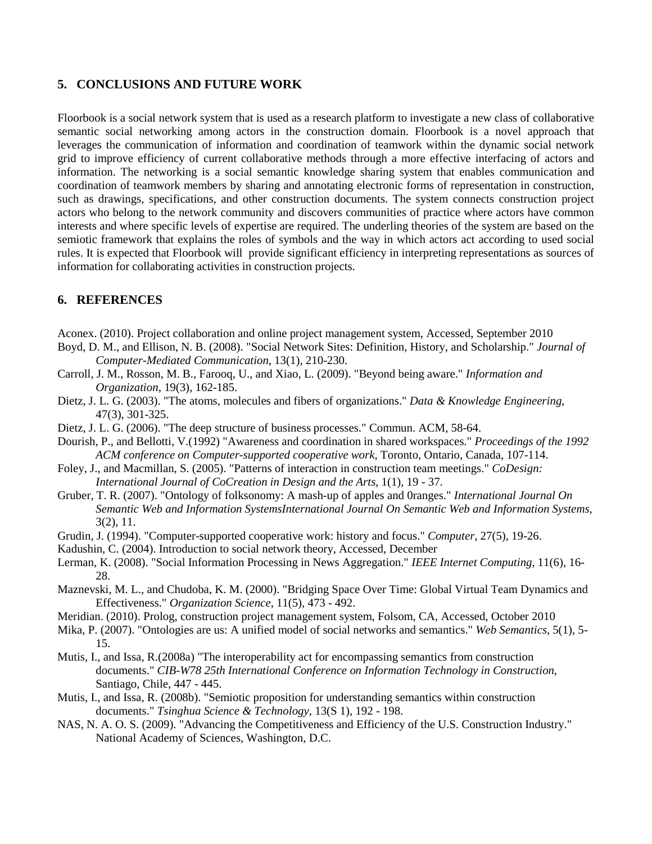#### **5. CONCLUSIONS AND FUTURE WORK**

Floorbook is a social network system that is used as a research platform to investigate a new class of collaborative semantic social networking among actors in the construction domain. Floorbook is a novel approach that leverages the communication of information and coordination of teamwork within the dynamic social network grid to improve efficiency of current collaborative methods through a more effective interfacing of actors and information. The networking is a social semantic knowledge sharing system that enables communication and coordination of teamwork members by sharing and annotating electronic forms of representation in construction, such as drawings, specifications, and other construction documents. The system connects construction project actors who belong to the network community and discovers communities of practice where actors have common interests and where specific levels of expertise are required. The underling theories of the system are based on the semiotic framework that explains the roles of symbols and the way in which actors act according to used social rules. It is expected that Floorbook will provide significant efficiency in interpreting representations as sources of information for collaborating activities in construction projects.

# **6. REFERENCES**

- <span id="page-7-5"></span>Aconex. (2010). Project collaboration and online project management system, Accessed, September 2010
- <span id="page-7-4"></span>Boyd, D. M., and Ellison, N. B. (2008). "Social Network Sites: Definition, History, and Scholarship." *Journal of Computer-Mediated Communication*, 13(1), 210-230.
- <span id="page-7-7"></span>Carroll, J. M., Rosson, M. B., Farooq, U., and Xiao, L. (2009). "Beyond being aware." *Information and Organization*, 19(3), 162-185.
- <span id="page-7-13"></span>Dietz, J. L. G. (2003). "The atoms, molecules and fibers of organizations." *Data & Knowledge Engineering*, 47(3), 301-325.
- <span id="page-7-11"></span>Dietz, J. L. G. (2006). "The deep structure of business processes." Commun. ACM, 58-64.
- <span id="page-7-8"></span>Dourish, P., and Bellotti, V.(1992) "Awareness and coordination in shared workspaces." *Proceedings of the 1992 ACM conference on Computer-supported cooperative work*, Toronto, Ontario, Canada, 107-114.
- <span id="page-7-2"></span>Foley, J., and Macmillan, S. (2005). "Patterns of interaction in construction team meetings." *CoDesign: International Journal of CoCreation in Design and the Arts*, 1(1), 19 - 37.
- <span id="page-7-15"></span>Gruber, T. R. (2007). "Ontology of folksonomy: A mash-up of apples and 0ranges." *International Journal On Semantic Web and Information SystemsInternational Journal On Semantic Web and Information Systems*, 3(2), 11.
- <span id="page-7-3"></span>Grudin, J. (1994). "Computer-supported cooperative work: history and focus." *Computer*, 27(5), 19-26.
- <span id="page-7-9"></span>Kadushin, C. (2004). Introduction to social network theory, Accessed, December
- <span id="page-7-1"></span>Lerman, K. (2008). "Social Information Processing in News Aggregation." *IEEE Internet Computing*, 11(6), 16- 28.
- <span id="page-7-10"></span>Maznevski, M. L., and Chudoba, K. M. (2000). "Bridging Space Over Time: Global Virtual Team Dynamics and Effectiveness." *Organization Science*, 11(5), 473 - 492.
- <span id="page-7-6"></span>Meridian. (2010). Prolog, construction project management system, Folsom, CA, Accessed, October 2010
- <span id="page-7-16"></span>Mika, P. (2007). "Ontologies are us: A unified model of social networks and semantics." *Web Semantics*, 5(1), 5- 15.
- <span id="page-7-14"></span>Mutis, I., and Issa, R.(2008a) "The interoperability act for encompassing semantics from construction documents." *CIB-W78 25th International Conference on Information Technology in Construction*, Santiago, Chile, 447 - 445.
- <span id="page-7-12"></span>Mutis, I., and Issa, R. (2008b). "Semiotic proposition for understanding semantics within construction documents." *Tsinghua Science & Technology*, 13(S 1), 192 - 198.
- <span id="page-7-0"></span>NAS, N. A. O. S. (2009). "Advancing the Competitiveness and Efficiency of the U.S. Construction Industry." National Academy of Sciences, Washington, D.C.